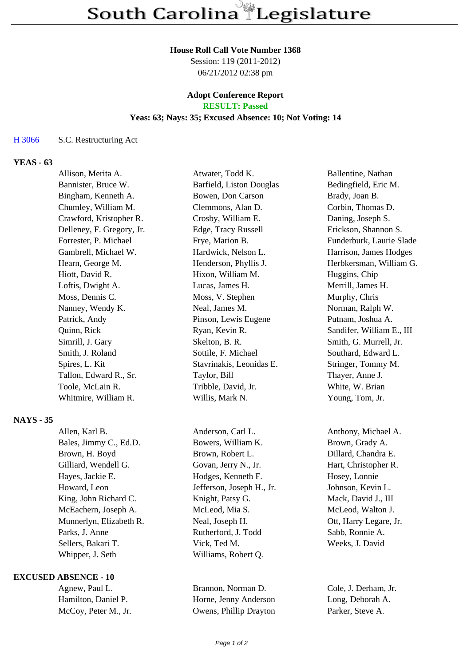#### **House Roll Call Vote Number 1368**

Session: 119 (2011-2012) 06/21/2012 02:38 pm

# **Adopt Conference Report**

## **RESULT: Passed**

## **Yeas: 63; Nays: 35; Excused Absence: 10; Not Voting: 14**

#### H 3066 S.C. Restructuring Act

### **YEAS - 63**

| Allison, Merita A.        | Atwater, Todd K.         | Ballentine, Nathan        |
|---------------------------|--------------------------|---------------------------|
| Bannister, Bruce W.       | Barfield, Liston Douglas | Bedingfield, Eric M.      |
| Bingham, Kenneth A.       | Bowen, Don Carson        | Brady, Joan B.            |
| Chumley, William M.       | Clemmons, Alan D.        | Corbin, Thomas D.         |
| Crawford, Kristopher R.   | Crosby, William E.       | Daning, Joseph S.         |
| Delleney, F. Gregory, Jr. | Edge, Tracy Russell      | Erickson, Shannon S.      |
| Forrester, P. Michael     | Frye, Marion B.          | Funderburk, Laurie Slade  |
| Gambrell, Michael W.      | Hardwick, Nelson L.      | Harrison, James Hodges    |
| Hearn, George M.          | Henderson, Phyllis J.    | Herbkersman, William G.   |
| Hiott, David R.           | Hixon, William M.        | Huggins, Chip             |
| Loftis, Dwight A.         | Lucas, James H.          | Merrill, James H.         |
| Moss, Dennis C.           | Moss, V. Stephen         | Murphy, Chris             |
| Nanney, Wendy K.          | Neal, James M.           | Norman, Ralph W.          |
| Patrick, Andy             | Pinson, Lewis Eugene     | Putnam, Joshua A.         |
| Quinn, Rick               | Ryan, Kevin R.           | Sandifer, William E., III |
| Simrill, J. Gary          | Skelton, B. R.           | Smith, G. Murrell, Jr.    |
| Smith, J. Roland          | Sottile, F. Michael      | Southard, Edward L.       |
| Spires, L. Kit            | Stavrinakis, Leonidas E. | Stringer, Tommy M.        |
| Tallon, Edward R., Sr.    | Taylor, Bill             | Thayer, Anne J.           |
| Toole, McLain R.          | Tribble, David, Jr.      | White, W. Brian           |
| Whitmire, William R.      | Willis, Mark N.          | Young, Tom, Jr.           |
|                           |                          |                           |

## **NAYS - 35**

Bales, Jimmy C., Ed.D. Bowers, William K. Brown, Grady A. Brown, H. Boyd Brown, Robert L. Dillard, Chandra E. Gilliard, Wendell G. Govan, Jerry N., Jr. Hart, Christopher R. Hayes, Jackie E. Hodges, Kenneth F. Hosey, Lonnie Howard, Leon Jefferson, Joseph H., Jr. Johnson, Kevin L. King, John Richard C. Knight, Patsy G. Mack, David J., III McEachern, Joseph A. McLeod, Mia S. McLeod, Walton J. Munnerlyn, Elizabeth R. Neal, Joseph H. Ott, Harry Legare, Jr. Parks, J. Anne Rutherford, J. Todd Sabb, Ronnie A. Sellers, Bakari T. Vick, Ted M. Weeks, J. David Whipper, J. Seth Williams, Robert Q.

## **EXCUSED ABSENCE - 10**

Allen, Karl B. Anderson, Carl L. Anthony, Michael A.

Agnew, Paul L. Brannon, Norman D. Cole, J. Derham, Jr. Hamilton, Daniel P. Horne, Jenny Anderson Long, Deborah A. McCoy, Peter M., Jr. Cowens, Phillip Drayton Parker, Steve A.